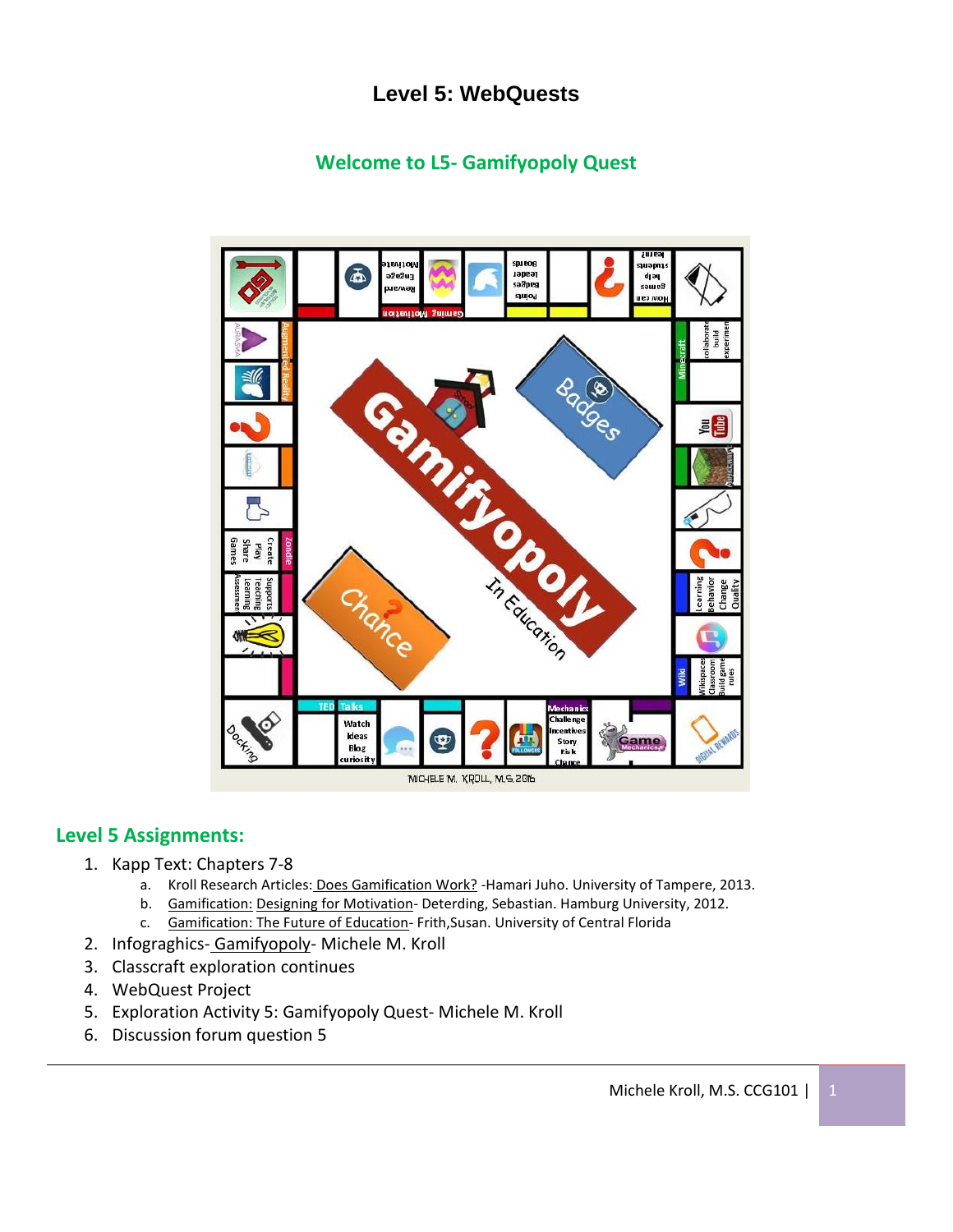# **Level 5: WebQuests**

# **Welcome to L5- Gamifyopoly Quest**



## **Level 5 Assignments:**

- 1. Kapp Text: Chapters 7-8
	- a. Kroll Research Articles: Does Gamification Work? Hamari Juho. University of Tampere, 2013.
	- b. Gamification: Designing for Motivation- Deterding, Sebastian. Hamburg University, 2012.
	- c. Gamification: The Future of Education- Frith, Susan. University of Central Florida
- 2. Infograghics-Gamifyopoly-Michele M. Kroll
- 3. Classcraft exploration continues
- 4. WebQuest Project
- 5. Exploration Activity 5: Gamifyopoly Quest- Michele M. Kroll
- 6. Discussion forum question 5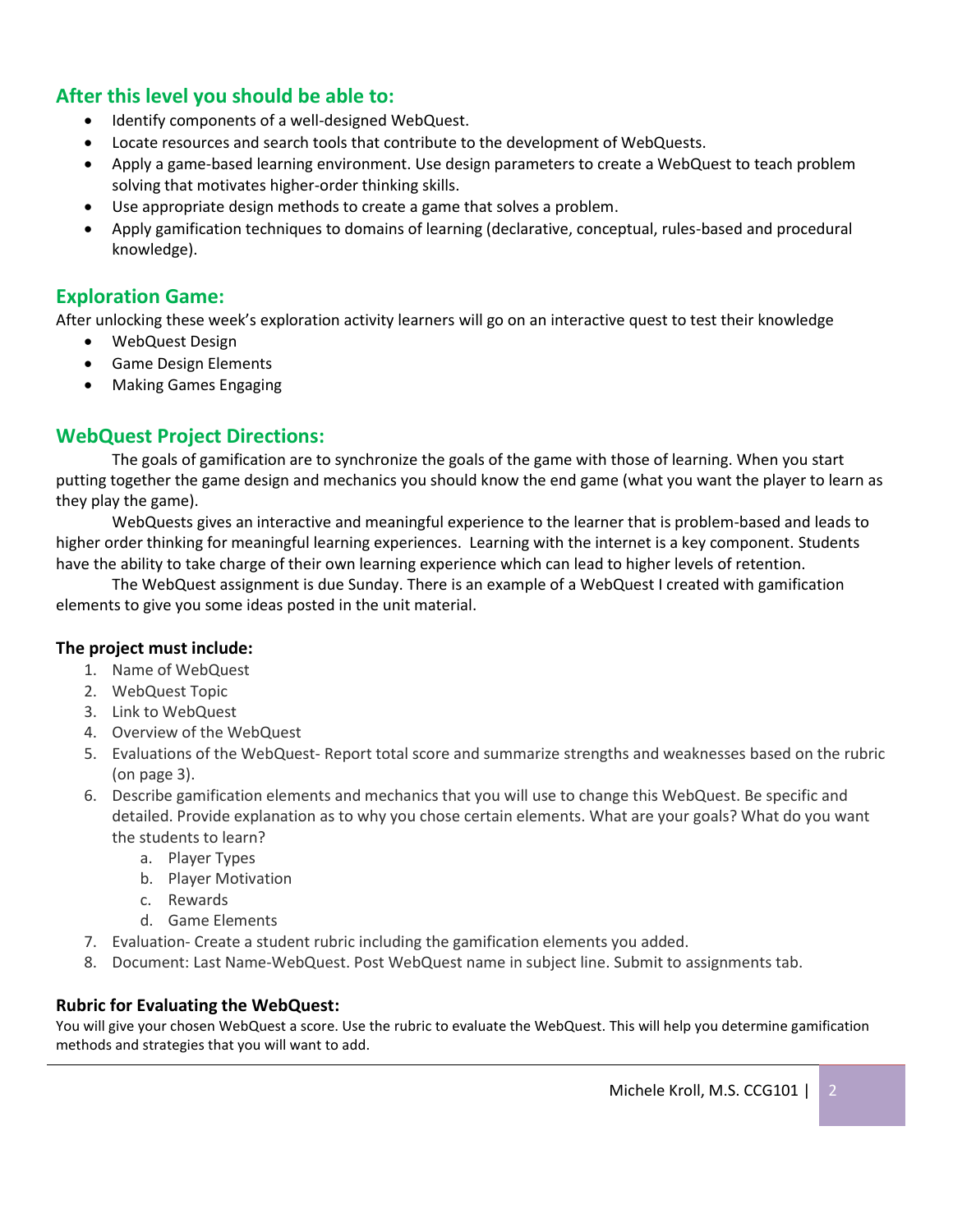## **After this level you should be able to:**

- Identify components of a well-designed WebQuest.
- Locate resources and search tools that contribute to the development of WebQuests.
- Apply a game-based learning environment. Use design parameters to create a WebQuest to teach problem solving that motivates higher-order thinking skills.
- Use appropriate design methods to create a game that solves a problem.
- Apply gamification techniques to domains of learning (declarative, conceptual, rules-based and procedural knowledge).

## **Exploration Game:**

After unlocking these week's exploration activity learners will go on an interactive quest to test their knowledge

- WebQuest Design
- Game Design Elements
- Making Games Engaging

## **WebQuest Project Directions:**

The goals of gamification are to synchronize the goals of the game with those of learning. When you start putting together the game design and mechanics you should know the end game (what you want the player to learn as they play the game).

WebQuests gives an interactive and meaningful experience to the learner that is problem-based and leads to higher order thinking for meaningful learning experiences. Learning with the internet is a key component. Students have the ability to take charge of their own learning experience which can lead to higher levels of retention.

The WebQuest assignment is due Sunday. There is an example of a WebQuest I created with gamification elements to give you some ideas posted in the unit material.

#### **The project must include:**

- 1. Name of WebQuest
- 2. WebQuest Topic
- 3. Link to WebQuest
- 4. Overview of the WebQuest
- 5. Evaluations of the WebQuest- Report total score and summarize strengths and weaknesses based on the rubric (on page 3).
- 6. Describe gamification elements and mechanics that you will use to change this WebQuest. Be specific and detailed. Provide explanation as to why you chose certain elements. What are your goals? What do you want the students to learn?
	- a. Player Types
	- b. Player Motivation
	- c. Rewards
	- d. Game Elements
- 7. Evaluation- Create a student rubric including the gamification elements you added.
- 8. Document: Last Name-WebQuest. Post WebQuest name in subject line. Submit to assignments tab.

#### **Rubric for Evaluating the WebQuest:**

You will give your chosen WebQuest a score. Use the rubric to evaluate the WebQuest. This will help you determine gamification methods and strategies that you will want to add.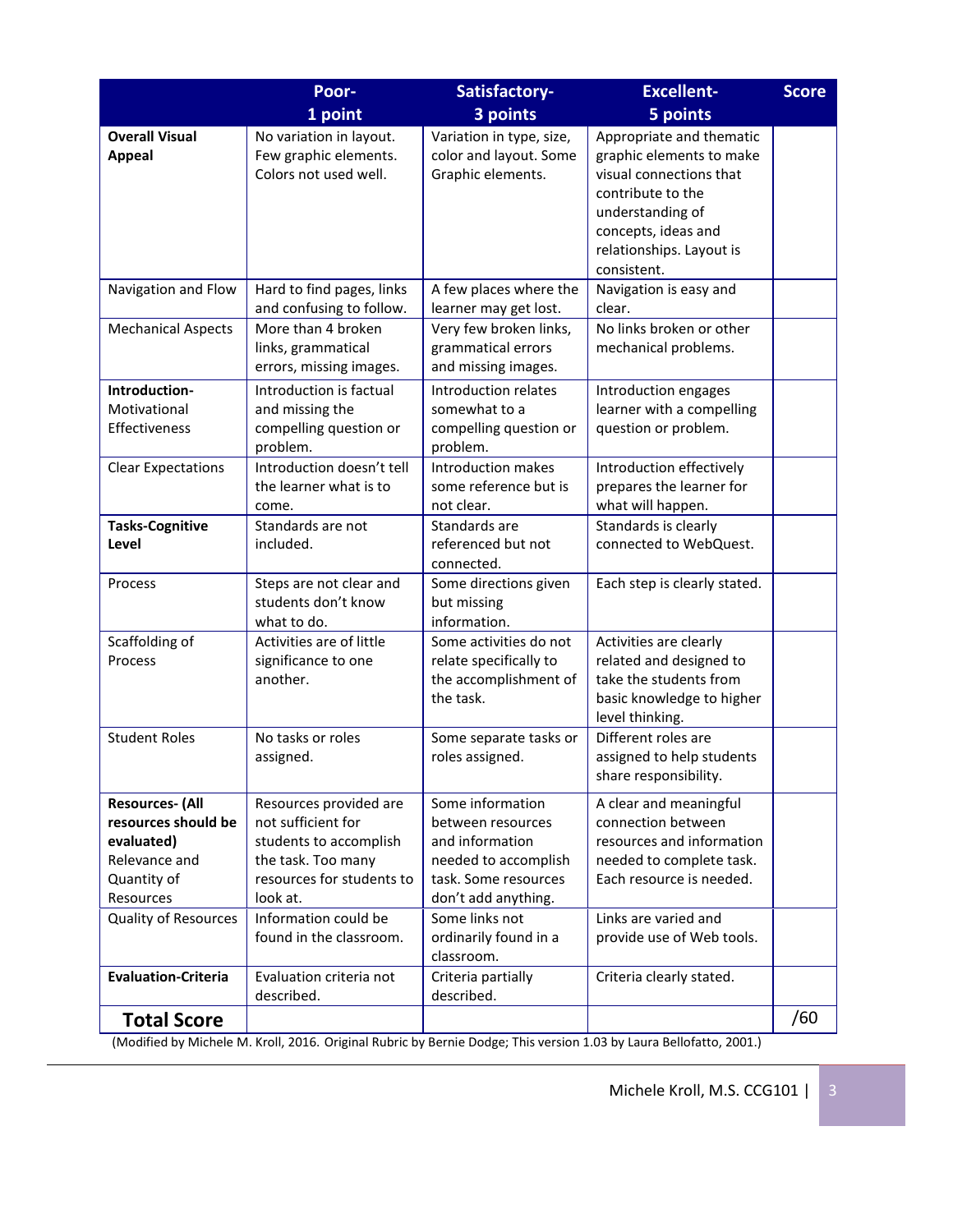|                                                                                                          | Poor-                                                                                                                                 | Satisfactory-                                                                                                                   | <b>Excellent-</b>                                                                                                                                                                          | <b>Score</b> |
|----------------------------------------------------------------------------------------------------------|---------------------------------------------------------------------------------------------------------------------------------------|---------------------------------------------------------------------------------------------------------------------------------|--------------------------------------------------------------------------------------------------------------------------------------------------------------------------------------------|--------------|
|                                                                                                          | 1 point                                                                                                                               | 3 points                                                                                                                        | 5 points                                                                                                                                                                                   |              |
| <b>Overall Visual</b><br><b>Appeal</b>                                                                   | No variation in layout.<br>Few graphic elements.<br>Colors not used well.                                                             | Variation in type, size,<br>color and layout. Some<br>Graphic elements.                                                         | Appropriate and thematic<br>graphic elements to make<br>visual connections that<br>contribute to the<br>understanding of<br>concepts, ideas and<br>relationships. Layout is<br>consistent. |              |
| Navigation and Flow                                                                                      | Hard to find pages, links<br>and confusing to follow.                                                                                 | A few places where the<br>learner may get lost.                                                                                 | Navigation is easy and<br>clear.                                                                                                                                                           |              |
| <b>Mechanical Aspects</b>                                                                                | More than 4 broken<br>links, grammatical<br>errors, missing images.                                                                   | Very few broken links,<br>grammatical errors<br>and missing images.                                                             | No links broken or other<br>mechanical problems.                                                                                                                                           |              |
| Introduction-<br>Motivational<br>Effectiveness                                                           | Introduction is factual<br>and missing the<br>compelling question or<br>problem.                                                      | Introduction relates<br>somewhat to a<br>compelling question or<br>problem.                                                     | Introduction engages<br>learner with a compelling<br>question or problem.                                                                                                                  |              |
| <b>Clear Expectations</b>                                                                                | Introduction doesn't tell<br>the learner what is to<br>come.                                                                          | Introduction makes<br>some reference but is<br>not clear.                                                                       | Introduction effectively<br>prepares the learner for<br>what will happen.                                                                                                                  |              |
| <b>Tasks-Cognitive</b><br>Level                                                                          | Standards are not<br>included.                                                                                                        | Standards are<br>referenced but not<br>connected.                                                                               | Standards is clearly<br>connected to WebQuest.                                                                                                                                             |              |
| Process                                                                                                  | Steps are not clear and<br>students don't know<br>what to do.                                                                         | Some directions given<br>but missing<br>information.                                                                            | Each step is clearly stated.                                                                                                                                                               |              |
| Scaffolding of<br>Process                                                                                | Activities are of little<br>significance to one<br>another.                                                                           | Some activities do not<br>relate specifically to<br>the accomplishment of<br>the task.                                          | Activities are clearly<br>related and designed to<br>take the students from<br>basic knowledge to higher<br>level thinking.                                                                |              |
| <b>Student Roles</b>                                                                                     | No tasks or roles<br>assigned.                                                                                                        | Some separate tasks or<br>roles assigned.                                                                                       | Different roles are<br>assigned to help students<br>share responsibility.                                                                                                                  |              |
| <b>Resources- (All</b><br>resources should be<br>evaluated)<br>Relevance and<br>Quantity of<br>Resources | Resources provided are<br>not sufficient for<br>students to accomplish<br>the task. Too many<br>resources for students to<br>look at. | Some information<br>between resources<br>and information<br>needed to accomplish<br>task. Some resources<br>don't add anything. | A clear and meaningful<br>connection between<br>resources and information<br>needed to complete task.<br>Each resource is needed.                                                          |              |
| <b>Quality of Resources</b>                                                                              | Information could be<br>found in the classroom.                                                                                       | Some links not<br>ordinarily found in a<br>classroom.                                                                           | Links are varied and<br>provide use of Web tools.                                                                                                                                          |              |
| <b>Evaluation-Criteria</b>                                                                               | Evaluation criteria not<br>described.                                                                                                 | Criteria partially<br>described.                                                                                                | Criteria clearly stated.                                                                                                                                                                   |              |
| <b>Total Score</b>                                                                                       |                                                                                                                                       |                                                                                                                                 |                                                                                                                                                                                            | /60          |
|                                                                                                          | (Modified by Michele M. Kroll, 2016. Original Rubric by Bernie Dodge; This version 1.03 by Laura Bellofatto, 2001.)                   |                                                                                                                                 |                                                                                                                                                                                            |              |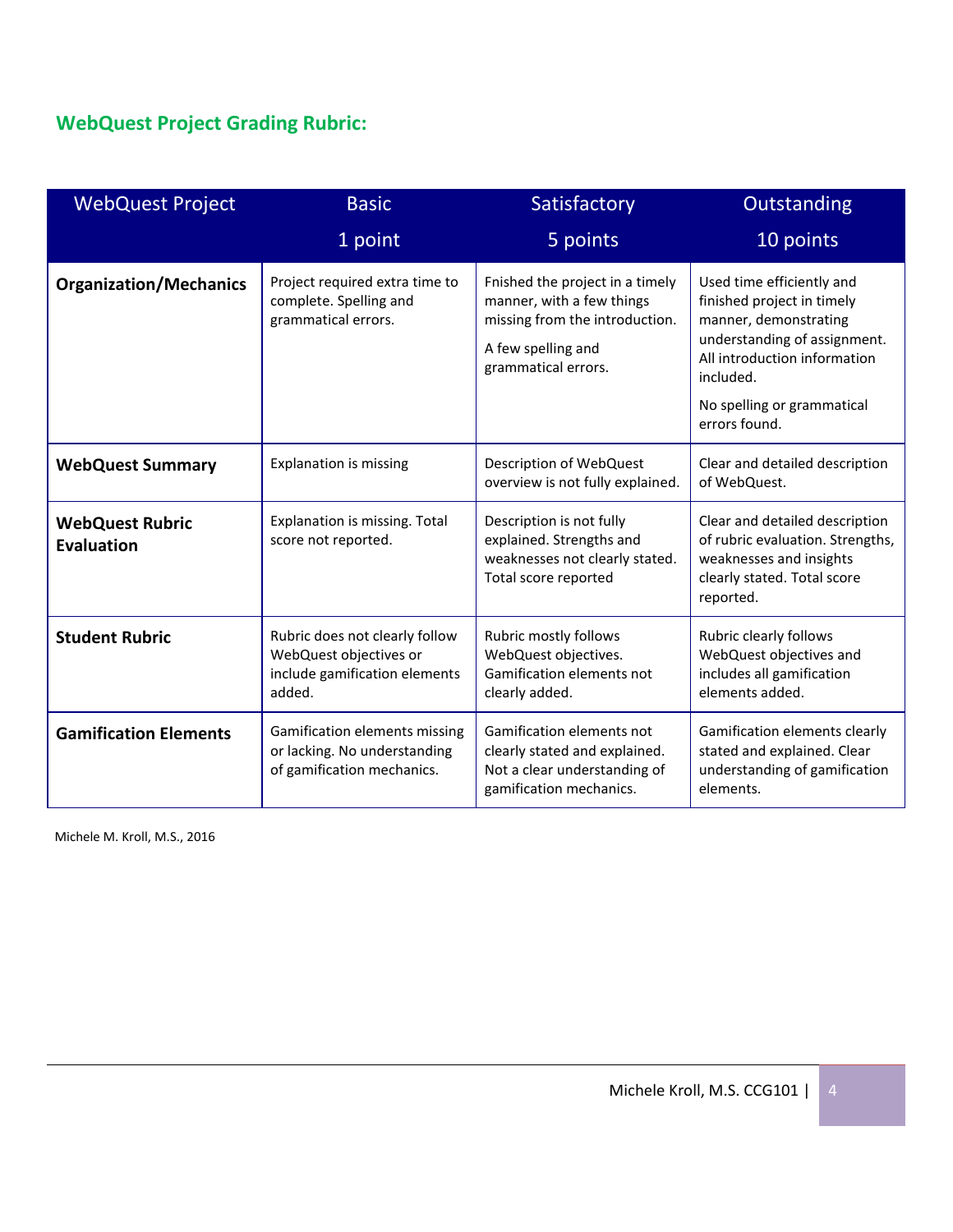# **WebQuest Project Grading Rubric:**

| <b>WebQuest Project</b>                     | <b>Basic</b>                                                                                        | Satisfactory                                                                                                                                | Outstanding                                                                                                                                                                                                  |
|---------------------------------------------|-----------------------------------------------------------------------------------------------------|---------------------------------------------------------------------------------------------------------------------------------------------|--------------------------------------------------------------------------------------------------------------------------------------------------------------------------------------------------------------|
|                                             | 1 point                                                                                             | 5 points                                                                                                                                    | 10 points                                                                                                                                                                                                    |
| <b>Organization/Mechanics</b>               | Project required extra time to<br>complete. Spelling and<br>grammatical errors.                     | Fnished the project in a timely<br>manner, with a few things<br>missing from the introduction.<br>A few spelling and<br>grammatical errors. | Used time efficiently and<br>finished project in timely<br>manner, demonstrating<br>understanding of assignment.<br>All introduction information<br>included.<br>No spelling or grammatical<br>errors found. |
| <b>WebQuest Summary</b>                     | <b>Explanation is missing</b>                                                                       | Description of WebQuest<br>overview is not fully explained.                                                                                 | Clear and detailed description<br>of WebQuest.                                                                                                                                                               |
| <b>WebQuest Rubric</b><br><b>Evaluation</b> | Explanation is missing. Total<br>score not reported.                                                | Description is not fully<br>explained. Strengths and<br>weaknesses not clearly stated.<br>Total score reported                              | Clear and detailed description<br>of rubric evaluation. Strengths,<br>weaknesses and insights<br>clearly stated. Total score<br>reported.                                                                    |
| <b>Student Rubric</b>                       | Rubric does not clearly follow<br>WebQuest objectives or<br>include gamification elements<br>added. | Rubric mostly follows<br>WebQuest objectives.<br>Gamification elements not<br>clearly added.                                                | Rubric clearly follows<br>WebQuest objectives and<br>includes all gamification<br>elements added.                                                                                                            |
| <b>Gamification Elements</b>                | Gamification elements missing<br>or lacking. No understanding<br>of gamification mechanics.         | Gamification elements not<br>clearly stated and explained.<br>Not a clear understanding of<br>gamification mechanics.                       | Gamification elements clearly<br>stated and explained. Clear<br>understanding of gamification<br>elements.                                                                                                   |

Michele M. Kroll, M.S., 2016